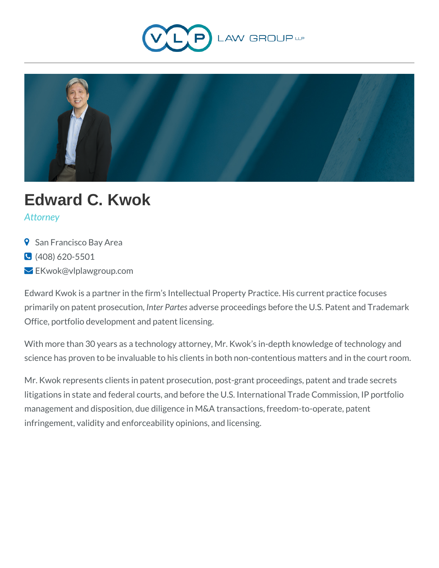



# **Edward C. Kwok**

*Attorney*

- **9** San Francisco Bay Area
- (408) 620-5501
- **EKwok@vlplawgroup.com**

Edward Kwok is a partner in the firm's Intellectual Property Practice. His current practice focuses primarily on patent prosecution, *Inter Partes* adverse proceedings before the U.S. Patent and Trademark Office, portfolio development and patent licensing.

With more than 30 years as a technology attorney, Mr. Kwok's in-depth knowledge of technology and science has proven to be invaluable to his clients in both non-contentious matters and in the court room.

Mr. Kwok represents clients in patent prosecution, post-grant proceedings, patent and trade secrets litigations in state and federal courts, and before the U.S. International Trade Commission, IP portfolio management and disposition, due diligence in M&A transactions, freedom-to-operate, patent infringement, validity and enforceability opinions, and licensing.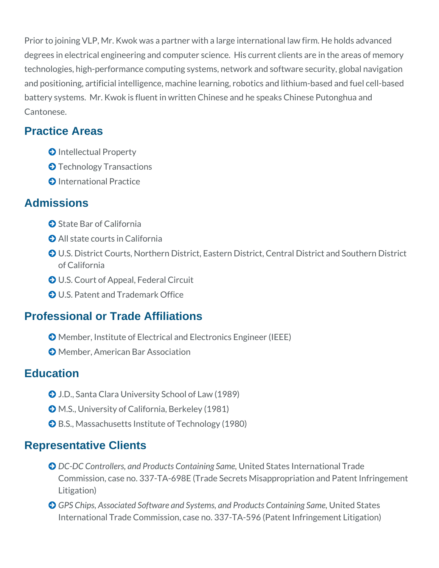Prior to joining VLP, Mr. Kwok was a partner with a large international law firm. He holds advanced degrees in electrical engineering and computer science. His current clients are in the areas of memory technologies, high-performance computing systems, network and software security, global navigation and positioning, artificial intelligence, machine learning, robotics and lithium-based and fuel cell-based battery systems. Mr. Kwok is fluent in written Chinese and he speaks Chinese Putonghua and Cantonese.

### **Practice Areas**

- **O** Intellectual Property
- **O** Technology Transactions
- **O** International Practice

#### **Admissions**

- **O** State Bar of California
- All state courts in California
- U.S. District Courts, Northern District, Eastern District, Central District and Southern District of California
- U.S. Court of Appeal, Federal Circuit
- U.S. Patent and Trademark Office

## **Professional or Trade Affiliations**

- Member, Institute of Electrical and Electronics Engineer (IEEE)
- **O** Member, American Bar Association

#### **Education**

- J.D., Santa Clara University School of Law (1989)
- M.S., University of California, Berkeley (1981)
- **◆ B.S., Massachusetts Institute of Technology (1980)**

#### **Representative Clients**

- *DC-DC Controllers, and Products Containing Same, United States International Trade* Commission, case no. 337-TA-698E (Trade Secrets Misappropriation and Patent Infringement Litigation)
- **GPS Chips, Associated Software and Systems, and Products Containing Same, United States** International Trade Commission, case no. 337-TA-596 (Patent Infringement Litigation)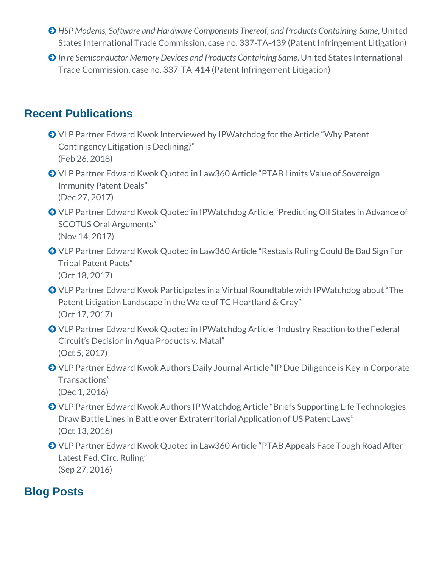- **HSP Modems, Software and Hardware Components Thereof, and Products Containing Same, United** States International Trade Commission, case no. 337-TA-439 (Patent Infringement Litigation)
- *In re Semiconductor Memory Devices and Products Containing Same*, United States International Trade Commission, case no. 337-TA-414 (Patent Infringement Litigation)

## **Recent Publications**

- VLP Partner Edward Kwok Interviewed by IPWatchdog for the Article "Why Patent Contingency Litigation is Declining?" (Feb 26, 2018)
- VLP Partner Edward Kwok Quoted in Law360 Article "PTAB Limits Value of Sovereign Immunity Patent Deals" (Dec 27, 2017)
- VLP Partner Edward Kwok Quoted in IPWatchdog Article "Predicting Oil States in Advance of SCOTUS Oral Arguments" (Nov 14, 2017)
- VLP Partner Edward Kwok Quoted in Law360 Article "Restasis Ruling Could Be Bad Sign For Tribal Patent Pacts" (Oct 18, 2017)
- VLP Partner Edward Kwok Participates in a Virtual Roundtable with IPWatchdog about "The Patent Litigation Landscape in the Wake of TC Heartland & Cray" (Oct 17, 2017)
- VLP Partner Edward Kwok Quoted in IPWatchdog Article "Industry Reaction to the Federal Circuit's Decision in Aqua Products v. Matal" (Oct 5, 2017)
- VLP Partner Edward Kwok Authors Daily Journal Article "IP Due Diligence is Key in Corporate Transactions" (Dec 1, 2016)
- VLP Partner Edward Kwok Authors IP Watchdog Article "Briefs Supporting Life Technologies Draw Battle Lines in Battle over Extraterritorial Application of US Patent Laws" (Oct 13, 2016)
- VLP Partner Edward Kwok Quoted in Law360 Article "PTAB Appeals Face Tough Road After Latest Fed. Circ. Ruling" (Sep 27, 2016)

#### **Blog Posts**